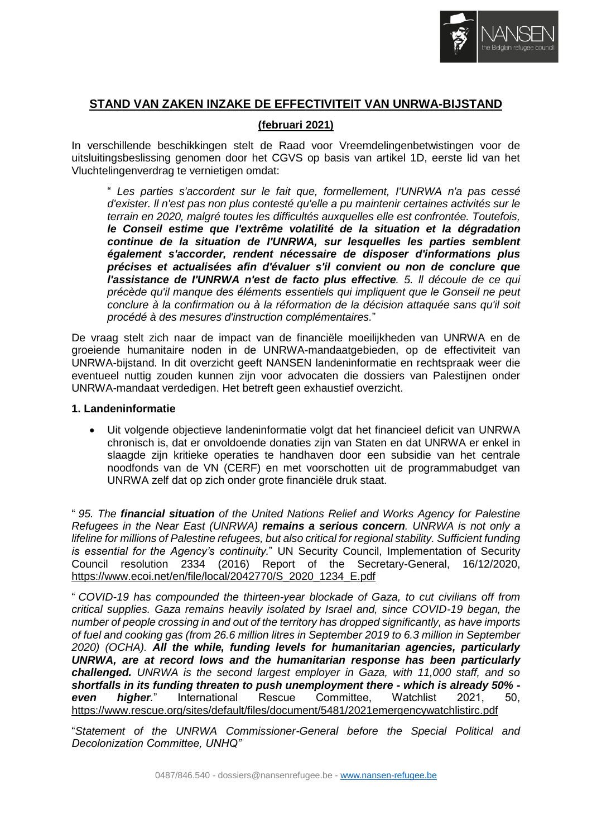

# **STAND VAN ZAKEN INZAKE DE EFFECTIVITEIT VAN UNRWA-BIJSTAND**

# **(februari 2021)**

In verschillende beschikkingen stelt de Raad voor Vreemdelingenbetwistingen voor de uitsluitingsbeslissing genomen door het CGVS op basis van artikel 1D, eerste lid van het Vluchtelingenverdrag te vernietigen omdat:

" *Les parties s'accordent sur le fait que, formellement, I'UNRWA n'a pas cessé d'exister. ll n'est pas non plus contesté qu'elle a pu maintenir certaines activités sur le terrain en 2020, malgré toutes les difficultés auxquelles elle est confrontée. Toutefois, le Conseil estime que I'extrême volatilité de la situation et la dégradation continue de la situation de I'UNRWA, sur lesquelles les parties semblent également s'accorder, rendent nécessaire de disposer d'informations plus précises et actualisées afin d'évaluer s'il convient ou non de conclure que l'assistance de I'UNRWA n'est de facto plus effective. 5. ll découle de ce qui précède qu'il manque des éléments essentiels qui impliquent que le Gonseil ne peut conclure à la confirmation ou à la réformation de la décision attaquée sans qu'il soit procédé à des mesures d'instruction complémentaires.*"

De vraag stelt zich naar de impact van de financiële moeilijkheden van UNRWA en de groeiende humanitaire noden in de UNRWA-mandaatgebieden, op de effectiviteit van UNRWA-bijstand. In dit overzicht geeft NANSEN landeninformatie en rechtspraak weer die eventueel nuttig zouden kunnen zijn voor advocaten die dossiers van Palestijnen onder UNRWA-mandaat verdedigen. Het betreft geen exhaustief overzicht.

#### **1. Landeninformatie**

• Uit volgende objectieve landeninformatie volgt dat het financieel deficit van UNRWA chronisch is, dat er onvoldoende donaties zijn van Staten en dat UNRWA er enkel in slaagde zijn kritieke operaties te handhaven door een subsidie van het centrale noodfonds van de VN (CERF) en met voorschotten uit de programmabudget van UNRWA zelf dat op zich onder grote financiële druk staat.

" *95. The financial situation of the United Nations Relief and Works Agency for Palestine Refugees in the Near East (UNRWA) remains a serious concern. UNRWA is not only a lifeline for millions of Palestine refugees, but also critical for regional stability. Sufficient funding is essential for the Agency's continuity.*" UN Security Council, Implementation of Security Council resolution 2334 (2016) Report of the Secretary-General, 16/12/2020, [https://www.ecoi.net/en/file/local/2042770/S\\_2020\\_1234\\_E.pdf](https://www.ecoi.net/en/file/local/2042770/S_2020_1234_E.pdf)

" *COVID-19 has compounded the thirteen-year blockade of Gaza, to cut civilians off from critical supplies. Gaza remains heavily isolated by Israel and, since COVID-19 began, the number of people crossing in and out of the territory has dropped significantly, as have imports of fuel and cooking gas (from 26.6 million litres in September 2019 to 6.3 million in September 2020) (OCHA). All the while, funding levels for humanitarian agencies, particularly UNRWA, are at record lows and the humanitarian response has been particularly challenged. UNRWA is the second largest employer in Gaza, with 11,000 staff, and so shortfalls in its funding threaten to push unemployment there - which is already 50% even higher.*" International Rescue Committee, Watchlist 2021, 50, <https://www.rescue.org/sites/default/files/document/5481/2021emergencywatchlistirc.pdf>

"*Statement of the UNRWA Commissioner-General before the Special Political and Decolonization Committee, UNHQ"*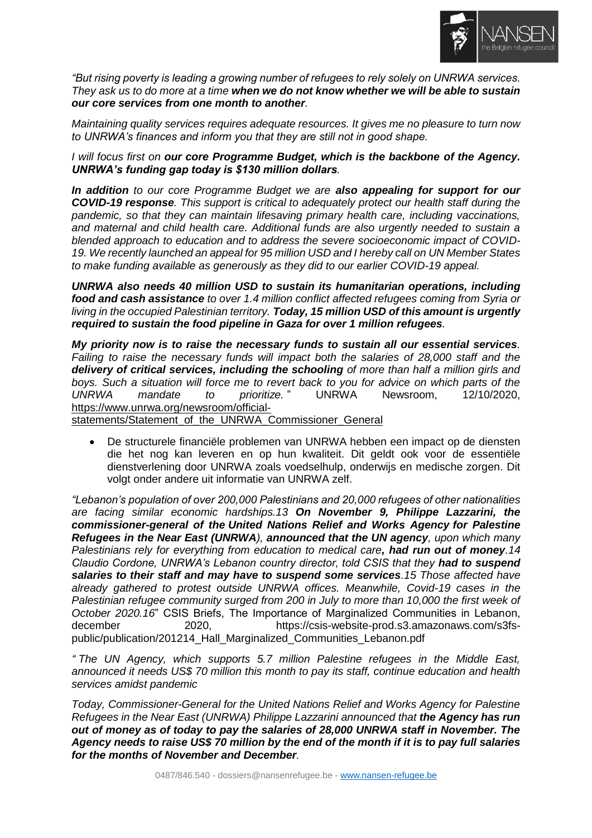

*"But rising poverty is leading a growing number of refugees to rely solely on UNRWA services. They ask us to do more at a time when we do not know whether we will be able to sustain our core services from one month to another.*

*Maintaining quality services requires adequate resources. It gives me no pleasure to turn now to UNRWA's finances and inform you that they are still not in good shape.* 

*I will focus first on our core Programme Budget, which is the backbone of the Agency. UNRWA's funding gap today is \$130 million dollars.*

*In addition to our core Programme Budget we are also appealing for support for our COVID-19 response. This support is critical to adequately protect our health staff during the pandemic, so that they can maintain lifesaving primary health care, including vaccinations, and maternal and child health care. Additional funds are also urgently needed to sustain a blended approach to education and to address the severe socioeconomic impact of COVID-19. We recently launched an appeal for 95 million USD and I hereby call on UN Member States to make funding available as generously as they did to our earlier COVID-19 appeal.*

*UNRWA also needs 40 million USD to sustain its humanitarian operations, including food and cash assistance to over 1.4 million conflict affected refugees coming from Syria or living in the occupied Palestinian territory. Today, 15 million USD of this amount is urgently required to sustain the food pipeline in Gaza for over 1 million refugees.*

*My priority now is to raise the necessary funds to sustain all our essential services. Failing to raise the necessary funds will impact both the salaries of 28,000 staff and the delivery of critical services, including the schooling of more than half a million girls and boys. Such a situation will force me to revert back to you for advice on which parts of the UNRWA mandate to prioritize.* " UNRWA Newsroom, 12/10/2020, [https://www.unrwa.org/newsroom/official-](https://www.unrwa.org/newsroom/official-statements/Statement_of_the_UNRWA_Commissioner_General)

[statements/Statement\\_of\\_the\\_UNRWA\\_Commissioner\\_General](https://www.unrwa.org/newsroom/official-statements/Statement_of_the_UNRWA_Commissioner_General)

• De structurele financiële problemen van UNRWA hebben een impact op de diensten die het nog kan leveren en op hun kwaliteit. Dit geldt ook voor de essentiële dienstverlening door UNRWA zoals voedselhulp, onderwijs en medische zorgen. Dit volgt onder andere uit informatie van UNRWA zelf.

*"Lebanon's population of over 200,000 Palestinians and 20,000 refugees of other nationalities are facing similar economic hardships.13 On November 9, Philippe Lazzarini, the commissioner-general of the United Nations Relief and Works Agency for Palestine Refugees in the Near East (UNRWA), announced that the UN agency, upon which many Palestinians rely for everything from education to medical care, had run out of money.14 Claudio Cordone, UNRWA's Lebanon country director, told CSIS that they had to suspend salaries to their staff and may have to suspend some services.15 Those affected have already gathered to protest outside UNRWA offices. Meanwhile, Covid-19 cases in the Palestinian refugee community surged from 200 in July to more than 10,000 the first week of October 2020.16*" CSIS Briefs, The Importance of Marginalized Communities in Lebanon, december 2020, https://csis-website-prod.s3.amazonaws.com/s3fspublic/publication/201214\_Hall\_Marginalized\_Communities\_Lebanon.pdf

*" The UN Agency, which supports 5.7 million Palestine refugees in the Middle East, announced it needs US\$ 70 million this month to pay its staff, continue education and health services amidst pandemic*

*Today, Commissioner-General for the United Nations Relief and Works Agency for Palestine Refugees in the Near East (UNRWA) Philippe Lazzarini announced that the Agency has run out of money as of today to pay the salaries of 28,000 UNRWA staff in November. The Agency needs to raise US\$ 70 million by the end of the month if it is to pay full salaries for the months of November and December.*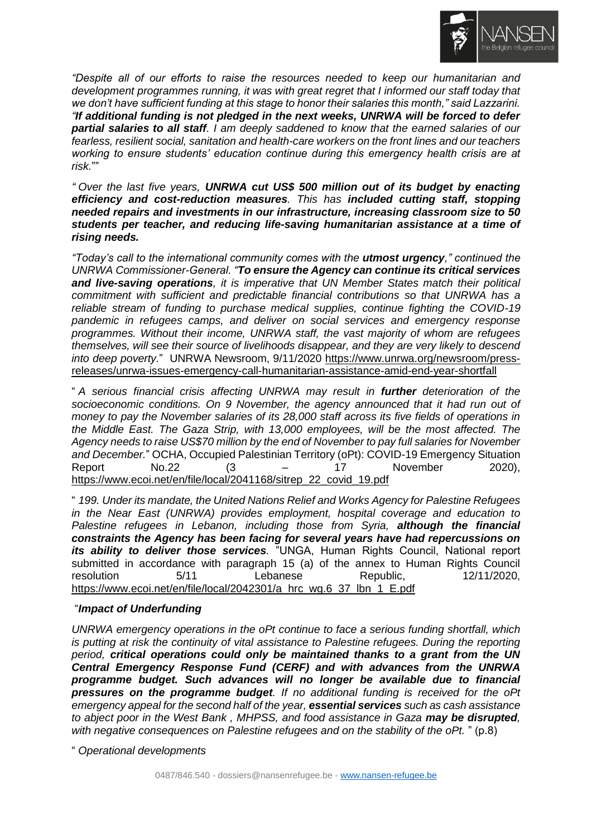

*"Despite all of our efforts to raise the resources needed to keep our humanitarian and development programmes running, it was with great regret that I informed our staff today that we don't have sufficient funding at this stage to honor their salaries this month," said Lazzarini. "If additional funding is not pledged in the next weeks, UNRWA will be forced to defer partial salaries to all staff. I am deeply saddened to know that the earned salaries of our fearless, resilient social, sanitation and health-care workers on the front lines and our teachers working to ensure students' education continue during this emergency health crisis are at risk.*""

*" Over the last five years, UNRWA cut US\$ 500 million out of its budget by enacting efficiency and cost-reduction measures. This has included cutting staff, stopping needed repairs and investments in our infrastructure, increasing classroom size to 50 students per teacher, and reducing life-saving humanitarian assistance at a time of rising needs.*

*"Today's call to the international community comes with the utmost urgency," continued the UNRWA Commissioner-General. "To ensure the Agency can continue its critical services and live-saving operations, it is imperative that UN Member States match their political commitment with sufficient and predictable financial contributions so that UNRWA has a reliable stream of funding to purchase medical supplies, continue fighting the COVID-19 pandemic in refugees camps, and deliver on social services and emergency response programmes. Without their income, UNRWA staff, the vast majority of whom are refugees themselves, will see their source of livelihoods disappear, and they are very likely to descend into deep poverty.*" UNRWA Newsroom, 9/11/2020 [https://www.unrwa.org/newsroom/press](https://www.unrwa.org/newsroom/press-releases/unrwa-issues-emergency-call-humanitarian-assistance-amid-end-year-shortfall)[releases/unrwa-issues-emergency-call-humanitarian-assistance-amid-end-year-shortfall](https://www.unrwa.org/newsroom/press-releases/unrwa-issues-emergency-call-humanitarian-assistance-amid-end-year-shortfall)

" *A serious financial crisis affecting UNRWA may result in further deterioration of the socioeconomic conditions. On 9 November, the agency announced that it had run out of money to pay the November salaries of its 28,000 staff across its five fields of operations in the Middle East. The Gaza Strip, with 13,000 employees, will be the most affected. The Agency needs to raise US\$70 million by the end of November to pay full salaries for November and December.*" OCHA, Occupied Palestinian Territory (oPt): COVID-19 Emergency Situation Report No.22 (3 – 17 November 2020), [https://www.ecoi.net/en/file/local/2041168/sitrep\\_22\\_covid\\_19.pdf](https://www.ecoi.net/en/file/local/2041168/sitrep_22_covid_19.pdf)

" *199. Under its mandate, the United Nations Relief and Works Agency for Palestine Refugees in the Near East (UNRWA) provides employment, hospital coverage and education to Palestine refugees in Lebanon, including those from Syria, although the financial constraints the Agency has been facing for several years have had repercussions on its ability to deliver those services.* "UNGA, Human Rights Council, National report submitted in accordance with paragraph 15 (a) of the annex to Human Rights Council resolution 5/11 Lebanese Republic, 12/11/2020, [https://www.ecoi.net/en/file/local/2042301/a\\_hrc\\_wg.6\\_37\\_lbn\\_1\\_E.pdf](https://www.ecoi.net/en/file/local/2042301/a_hrc_wg.6_37_lbn_1_E.pdf)

## "*Impact of Underfunding*

*UNRWA emergency operations in the oPt continue to face a serious funding shortfall, which is putting at risk the continuity of vital assistance to Palestine refugees. During the reporting period, critical operations could only be maintained thanks to a grant from the UN Central Emergency Response Fund (CERF) and with advances from the UNRWA programme budget. Such advances will no longer be available due to financial pressures on the programme budget. If no additional funding is received for the oPt emergency appeal for the second half of the year, essential services such as cash assistance to abject poor in the West Bank , MHPSS, and food assistance in Gaza may be disrupted, with negative consequences on Palestine refugees and on the stability of the oPt.* " (p.8)

" *Operational developments*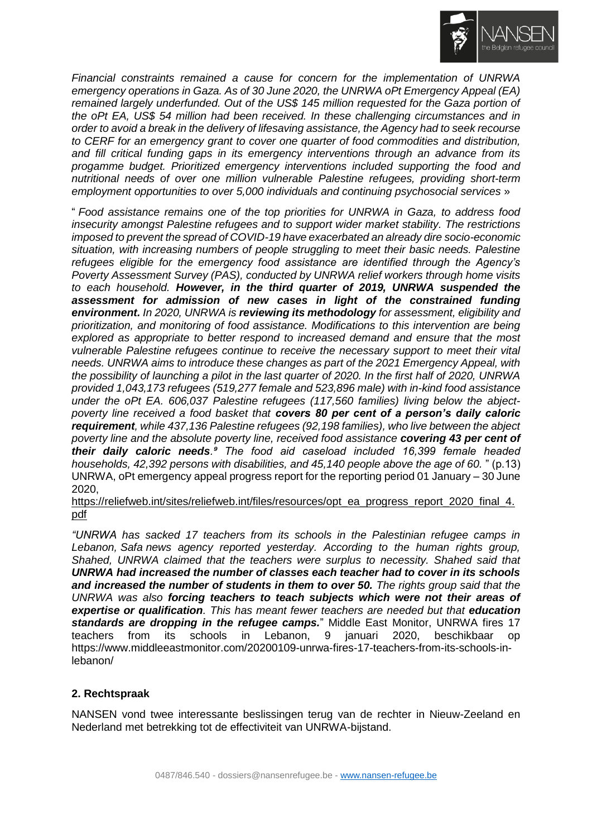

*Financial constraints remained a cause for concern for the implementation of UNRWA emergency operations in Gaza. As of 30 June 2020, the UNRWA oPt Emergency Appeal (EA) remained largely underfunded. Out of the US\$ 145 million requested for the Gaza portion of the oPt EA, US\$ 54 million had been received. In these challenging circumstances and in order to avoid a break in the delivery of lifesaving assistance, the Agency had to seek recourse to CERF for an emergency grant to cover one quarter of food commodities and distribution, and fill critical funding gaps in its emergency interventions through an advance from its progamme budget. Prioritized emergency interventions included supporting the food and nutritional needs of over one million vulnerable Palestine refugees, providing short-term employment opportunities to over 5,000 individuals and continuing psychosocial services* »

" *Food assistance remains one of the top priorities for UNRWA in Gaza, to address food insecurity amongst Palestine refugees and to support wider market stability. The restrictions imposed to prevent the spread of COVID-19 have exacerbated an already dire socio-economic situation, with increasing numbers of people struggling to meet their basic needs. Palestine refugees eligible for the emergency food assistance are identified through the Agency's Poverty Assessment Survey (PAS), conducted by UNRWA relief workers through home visits to each household. However, in the third quarter of 2019, UNRWA suspended the assessment for admission of new cases in light of the constrained funding environment. In 2020, UNRWA is reviewing its methodology for assessment, eligibility and prioritization, and monitoring of food assistance. Modifications to this intervention are being explored as appropriate to better respond to increased demand and ensure that the most vulnerable Palestine refugees continue to receive the necessary support to meet their vital needs. UNRWA aims to introduce these changes as part of the 2021 Emergency Appeal, with the possibility of launching a pilot in the last quarter of 2020. In the first half of 2020, UNRWA provided 1,043,173 refugees (519,277 female and 523,896 male) with in-kind food assistance under the oPt EA. 606,037 Palestine refugees (117,560 families) living below the abjectpoverty line received a food basket that covers 80 per cent of a person's daily caloric requirement, while 437,136 Palestine refugees (92,198 families), who live between the abject poverty line and the absolute poverty line, received food assistance covering 43 per cent of their daily caloric needs.⁹ The food aid caseload included 16,399 female headed households, 42,392 persons with disabilities, and 45,140 people above the age of 60.* " (p.13) UNRWA, oPt emergency appeal progress report for the reporting period 01 January – 30 June 2020,

[https://reliefweb.int/sites/reliefweb.int/files/resources/opt\\_ea\\_progress\\_report\\_2020\\_final\\_4.](https://reliefweb.int/sites/reliefweb.int/files/resources/opt_ea_progress_report_2020_final_4.pdf) [pdf](https://reliefweb.int/sites/reliefweb.int/files/resources/opt_ea_progress_report_2020_final_4.pdf)

*"UNRWA has sacked 17 teachers from its schools in the Palestinian refugee camps in Lebanon, Safa news agency reported yesterday. According to the human rights group, Shahed, UNRWA claimed that the teachers were surplus to necessity. Shahed said that UNRWA had increased the number of classes each teacher had to cover in its schools and increased the number of students in them to over 50. The rights group said that the UNRWA was also forcing teachers to teach subjects which were not their areas of*  **expertise or qualification**. This has meant fewer teachers are needed but that **education** *standards are dropping in the refugee camps.*" Middle East Monitor, UNRWA fires 17 teachers from its schools in Lebanon, 9 januari 2020, beschikbaar op https://www.middleeastmonitor.com/20200109-unrwa-fires-17-teachers-from-its-schools-inlebanon/

## **2. Rechtspraak**

NANSEN vond twee interessante beslissingen terug van de rechter in Nieuw-Zeeland en Nederland met betrekking tot de effectiviteit van UNRWA-bijstand.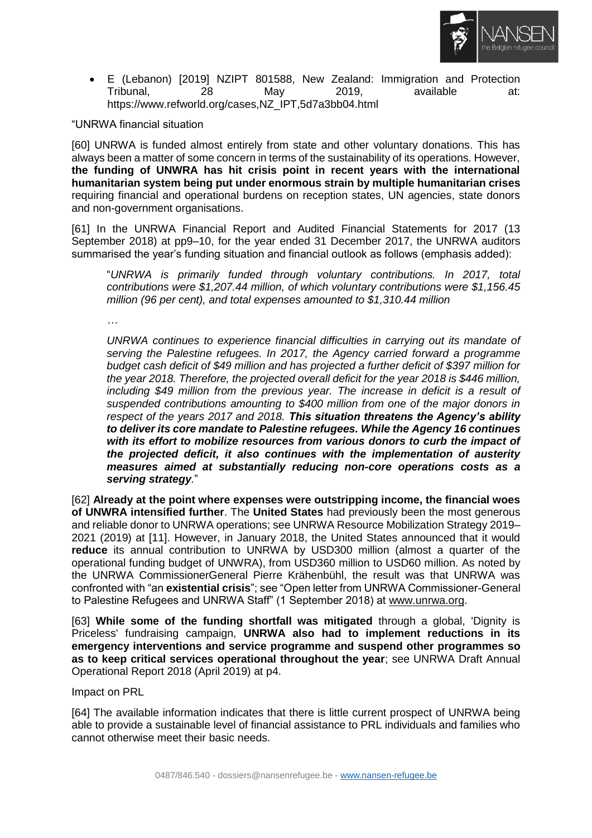

• E (Lebanon) [2019] NZIPT 801588, New Zealand: Immigration and Protection Tribunal, 28 May 2019, available at: https://www.refworld.org/cases,NZ\_IPT,5d7a3bb04.html

"UNRWA financial situation

[60] UNRWA is funded almost entirely from state and other voluntary donations. This has always been a matter of some concern in terms of the sustainability of its operations. However, **the funding of UNWRA has hit crisis point in recent years with the international humanitarian system being put under enormous strain by multiple humanitarian crises** requiring financial and operational burdens on reception states, UN agencies, state donors and non-government organisations.

[61] In the UNRWA Financial Report and Audited Financial Statements for 2017 (13 September 2018) at pp9–10, for the year ended 31 December 2017, the UNRWA auditors summarised the year's funding situation and financial outlook as follows (emphasis added):

"*UNRWA is primarily funded through voluntary contributions. In 2017, total contributions were \$1,207.44 million, of which voluntary contributions were \$1,156.45 million (96 per cent), and total expenses amounted to \$1,310.44 million* 

*…* 

*UNRWA continues to experience financial difficulties in carrying out its mandate of serving the Palestine refugees. In 2017, the Agency carried forward a programme budget cash deficit of \$49 million and has projected a further deficit of \$397 million for the year 2018. Therefore, the projected overall deficit for the year 2018 is \$446 million,*  including \$49 million from the previous year. The increase in deficit is a result of *suspended contributions amounting to \$400 million from one of the major donors in respect of the years 2017 and 2018. This situation threatens the Agency's ability to deliver its core mandate to Palestine refugees. While the Agency 16 continues with its effort to mobilize resources from various donors to curb the impact of the projected deficit, it also continues with the implementation of austerity measures aimed at substantially reducing non-core operations costs as a serving strategy.*"

[62] **Already at the point where expenses were outstripping income, the financial woes of UNWRA intensified further**. The **United States** had previously been the most generous and reliable donor to UNRWA operations; see UNRWA Resource Mobilization Strategy 2019– 2021 (2019) at [11]. However, in January 2018, the United States announced that it would **reduce** its annual contribution to UNRWA by USD300 million (almost a quarter of the operational funding budget of UNWRA), from USD360 million to USD60 million. As noted by the UNRWA CommissionerGeneral Pierre Krähenbühl, the result was that UNRWA was confronted with "an **existential crisis**"; see "Open letter from UNRWA Commissioner-General to Palestine Refugees and UNRWA Staff" (1 September 2018) at [www.unrwa.org.](http://www.unrwa.org/)

[63] **While some of the funding shortfall was mitigated** through a global, 'Dignity is Priceless' fundraising campaign, **UNRWA also had to implement reductions in its emergency interventions and service programme and suspend other programmes so as to keep critical services operational throughout the year**; see UNRWA Draft Annual Operational Report 2018 (April 2019) at p4.

Impact on PRL

[64] The available information indicates that there is little current prospect of UNRWA being able to provide a sustainable level of financial assistance to PRL individuals and families who cannot otherwise meet their basic needs.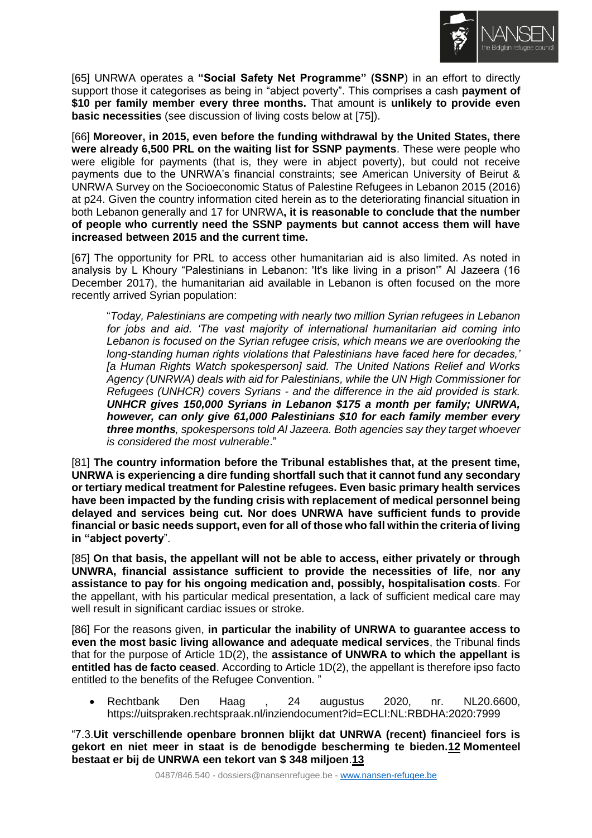

[65] UNRWA operates a **"Social Safety Net Programme" (SSNP**) in an effort to directly support those it categorises as being in "abject poverty". This comprises a cash **payment of \$10 per family member every three months.** That amount is **unlikely to provide even basic necessities** (see discussion of living costs below at [75]).

[66] **Moreover, in 2015, even before the funding withdrawal by the United States, there were already 6,500 PRL on the waiting list for SSNP payments**. These were people who were eligible for payments (that is, they were in abject poverty), but could not receive payments due to the UNRWA's financial constraints; see American University of Beirut & UNRWA Survey on the Socioeconomic Status of Palestine Refugees in Lebanon 2015 (2016) at p24. Given the country information cited herein as to the deteriorating financial situation in both Lebanon generally and 17 for UNRWA**, it is reasonable to conclude that the number of people who currently need the SSNP payments but cannot access them will have increased between 2015 and the current time.** 

[67] The opportunity for PRL to access other humanitarian aid is also limited. As noted in analysis by L Khoury "Palestinians in Lebanon: 'It's like living in a prison'" Al Jazeera (16 December 2017), the humanitarian aid available in Lebanon is often focused on the more recently arrived Syrian population:

"*Today, Palestinians are competing with nearly two million Syrian refugees in Lebanon for jobs and aid. 'The vast majority of international humanitarian aid coming into Lebanon is focused on the Syrian refugee crisis, which means we are overlooking the long-standing human rights violations that Palestinians have faced here for decades,' [a Human Rights Watch spokesperson] said. The United Nations Relief and Works Agency (UNRWA) deals with aid for Palestinians, while the UN High Commissioner for Refugees (UNHCR) covers Syrians - and the difference in the aid provided is stark. UNHCR gives 150,000 Syrians in Lebanon \$175 a month per family; UNRWA, however, can only give 61,000 Palestinians \$10 for each family member every three months, spokespersons told Al Jazeera. Both agencies say they target whoever is considered the most vulnerable*."

[81] **The country information before the Tribunal establishes that, at the present time, UNRWA is experiencing a dire funding shortfall such that it cannot fund any secondary or tertiary medical treatment for Palestine refugees. Even basic primary health services have been impacted by the funding crisis with replacement of medical personnel being delayed and services being cut. Nor does UNRWA have sufficient funds to provide financial or basic needs support, even for all of those who fall within the criteria of living in "abject poverty**".

[85] On that basis, the appellant will not be able to access, either privately or through **UNWRA, financial assistance sufficient to provide the necessities of life**, **nor any assistance to pay for his ongoing medication and, possibly, hospitalisation costs**. For the appellant, with his particular medical presentation, a lack of sufficient medical care may well result in significant cardiac issues or stroke.

[86] For the reasons given, **in particular the inability of UNRWA to guarantee access to even the most basic living allowance and adequate medical services**, the Tribunal finds that for the purpose of Article 1D(2), the **assistance of UNWRA to which the appellant is entitled has de facto ceased**. According to Article 1D(2), the appellant is therefore ipso facto entitled to the benefits of the Refugee Convention. "

• Rechtbank Den Haag , 24 augustus 2020, nr. NL20.6600, https://uitspraken.rechtspraak.nl/inziendocument?id=ECLI:NL:RBDHA:2020:7999

"7.3.**Uit verschillende openbare bronnen blijkt dat UNRWA (recent) financieel fors is gekort en niet meer in staat is de benodigde bescherming te bieden[.12](https://uitspraken.rechtspraak.nl/inziendocument?id=ECLI:NL:RBDHA:2020:7999#_6fb3b0b2-8c86-472b-9cbb-34b92c2635d0) Momenteel bestaat er bij de UNRWA een tekort van \$ 348 miljoen**.**[13](https://uitspraken.rechtspraak.nl/inziendocument?id=ECLI:NL:RBDHA:2020:7999#_ffd3bde1-b5ac-4d10-abff-c59b6b176ac9)**